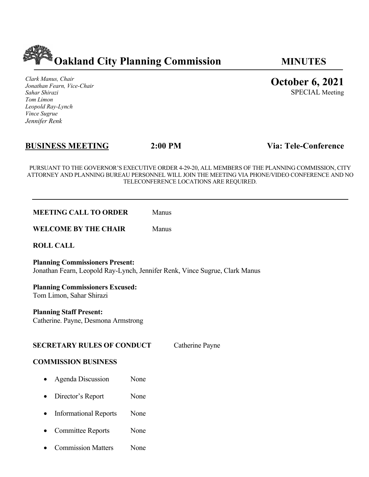

*Clark Manus, Chair Jonathan Fearn, Vice-Chair Sahar Shirazi Tom Limon Leopold Ray-Lynch Vince Sugrue Jennifer Renk*

# **BUSINESS MEETING 2:00 PM Via: Tele-Conference**

PURSUANT TO THE GOVERNOR'S EXECUTIVE ORDER 4-29-20, ALL MEMBERS OF THE PLANNING COMMISSION, CITY ATTORNEY AND PLANNING BUREAU PERSONNEL WILL JOIN THE MEETING VIA PHONE/VIDEO CONFERENCE AND NO TELECONFERENCE LOCATIONS ARE REQUIRED.

**WELCOME BY THE CHAIR** Manus

**ROLL CALL**

**Planning Commissioners Present:**  Jonathan Fearn, Leopold Ray-Lynch, Jennifer Renk, Vince Sugrue, Clark Manus

**Planning Commissioners Excused:** Tom Limon, Sahar Shirazi

Catherine. Payne, Desmona Armstrong

## **SECRETARY RULES OF CONDUCT** Catherine Payne

## **COMMISSION BUSINESS**

- Agenda Discussion None
- Director's Report None
- Informational Reports None
- Committee Reports None
- Commission Matters None

**October 6, 2021**

SPECIAL Meeting

**Planning Staff Present:**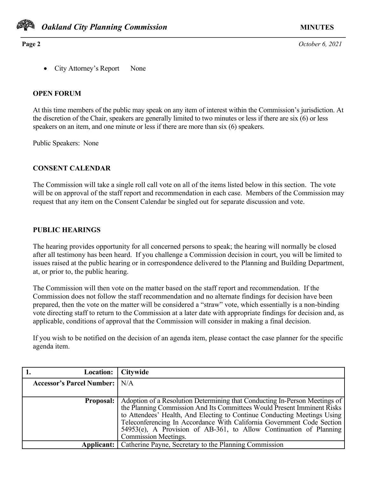

**Page 2** *October 6, 2021*

• City Attorney's Report None

### **OPEN FORUM**

At this time members of the public may speak on any item of interest within the Commission's jurisdiction. At the discretion of the Chair, speakers are generally limited to two minutes or less if there are six (6) or less speakers on an item, and one minute or less if there are more than six (6) speakers.

Public Speakers: None

## **CONSENT CALENDAR**

The Commission will take a single roll call vote on all of the items listed below in this section. The vote will be on approval of the staff report and recommendation in each case. Members of the Commission may request that any item on the Consent Calendar be singled out for separate discussion and vote.

### **PUBLIC HEARINGS**

The hearing provides opportunity for all concerned persons to speak; the hearing will normally be closed after all testimony has been heard. If you challenge a Commission decision in court, you will be limited to issues raised at the public hearing or in correspondence delivered to the Planning and Building Department, at, or prior to, the public hearing.

The Commission will then vote on the matter based on the staff report and recommendation. If the Commission does not follow the staff recommendation and no alternate findings for decision have been prepared, then the vote on the matter will be considered a "straw" vote, which essentially is a non-binding vote directing staff to return to the Commission at a later date with appropriate findings for decision and, as applicable, conditions of approval that the Commission will consider in making a final decision.

If you wish to be notified on the decision of an agenda item, please contact the case planner for the specific agenda item.

| Location:   Citywide             |                                                                            |
|----------------------------------|----------------------------------------------------------------------------|
| <b>Accessor's Parcel Number:</b> | N/A                                                                        |
|                                  |                                                                            |
| <b>Proposal:</b>                 | Adoption of a Resolution Determining that Conducting In-Person Meetings of |
|                                  | the Planning Commission And Its Committees Would Present Imminent Risks    |
|                                  | to Attendees' Health, And Electing to Continue Conducting Meetings Using   |
|                                  | Teleconferencing In Accordance With California Government Code Section     |
|                                  | $54953(e)$ , A Provision of AB-361, to Allow Continuation of Planning      |
|                                  | Commission Meetings.                                                       |
|                                  | <b>Applicant:</b>   Catherine Payne, Secretary to the Planning Commission  |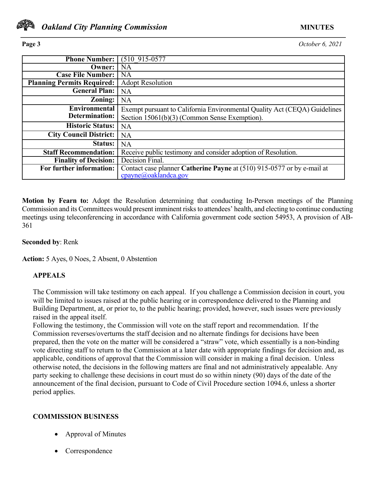

**Page 3** *October 6, 2021*

| <b>Phone Number:</b>              | $(510915-0577)$                                                           |
|-----------------------------------|---------------------------------------------------------------------------|
| Owner:                            | <b>NA</b>                                                                 |
| <b>Case File Number:</b>          | <b>NA</b>                                                                 |
| <b>Planning Permits Required:</b> | <b>Adopt Resolution</b>                                                   |
| <b>General Plan:</b>              | NA                                                                        |
| Zoning:                           | <b>NA</b>                                                                 |
| Environmental                     | Exempt pursuant to California Environmental Quality Act (CEQA) Guidelines |
| Determination:                    | Section 15061(b)(3) (Common Sense Exemption).                             |
| <b>Historic Status:</b>           | <b>NA</b>                                                                 |
| <b>City Council District:</b>     | NA                                                                        |
| <b>Status:</b>                    | NA                                                                        |
| <b>Staff Recommendation:</b>      | Receive public testimony and consider adoption of Resolution.             |
| <b>Finality of Decision:</b>      | Decision Final.                                                           |
| For further information:          | Contact case planner Catherine Payne at (510) 915-0577 or by e-mail at    |
|                                   | cpayne@oaklandca.gov                                                      |

**Motion by Fearn to:** Adopt the Resolution determining that conducting In-Person meetings of the Planning Commission and its Committees would present imminent risks to attendees' health, and electing to continue conducting meetings using teleconferencing in accordance with California government code section 54953, A provision of AB-361

## **Seconded by**: Renk

**Action:** 5 Ayes, 0 Noes, 2 Absent, 0 Abstention

# **APPEALS**

The Commission will take testimony on each appeal. If you challenge a Commission decision in court, you will be limited to issues raised at the public hearing or in correspondence delivered to the Planning and Building Department, at, or prior to, to the public hearing; provided, however, such issues were previously raised in the appeal itself.

Following the testimony, the Commission will vote on the staff report and recommendation. If the Commission reverses/overturns the staff decision and no alternate findings for decisions have been prepared, then the vote on the matter will be considered a "straw" vote, which essentially is a non-binding vote directing staff to return to the Commission at a later date with appropriate findings for decision and, as applicable, conditions of approval that the Commission will consider in making a final decision. Unless otherwise noted, the decisions in the following matters are final and not administratively appealable. Any party seeking to challenge these decisions in court must do so within ninety (90) days of the date of the announcement of the final decision, pursuant to Code of Civil Procedure section 1094.6, unless a shorter period applies.

## **COMMISSION BUSINESS**

- Approval of Minutes
- Correspondence